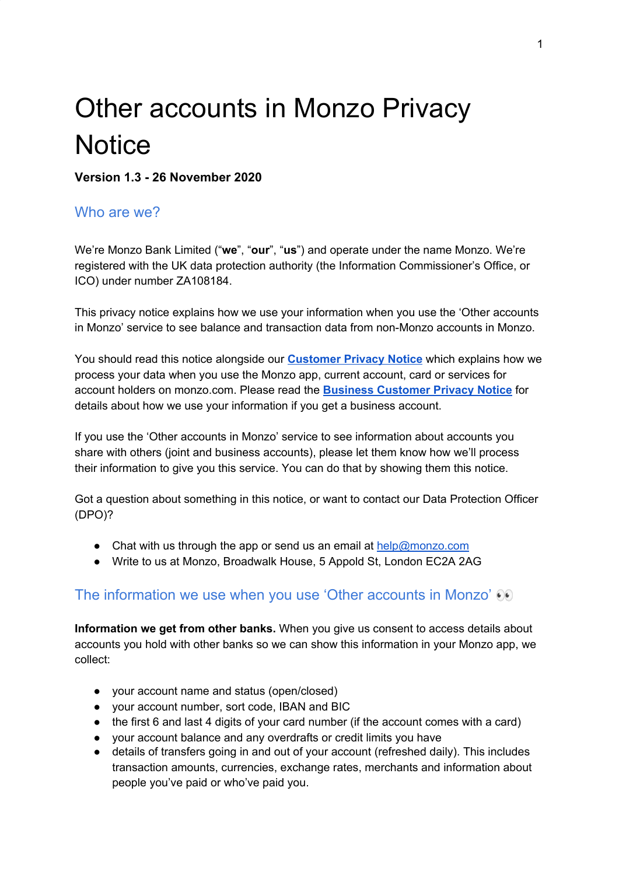# Other accounts in Monzo Privacy **Notice**

**Version 1.3 - 26 November 2020**

### Who are we?

We're Monzo Bank Limited ("**we**", "**our**", "**us**") and operate under the name Monzo. We're registered with the UK data protection authority (the Information Commissioner's Office, or ICO) under number ZA108184.

This privacy notice explains how we use your information when you use the 'Other accounts in Monzo' service to see balance and transaction data from non-Monzo accounts in Monzo.

You should read this notice alongside our **[Customer](https://monzo.com/legal/privacy-notice/) Privacy Notice** which explains how we process your data when you use the Monzo app, current account, card or services for account holders on monzo.com. Please read the **Business [Customer](https://monzo.com/legal/business-account-privacy-policy/) Privacy Notice** for details about how we use your information if you get a business account.

If you use the 'Other accounts in Monzo' service to see information about accounts you share with others (joint and business accounts), please let them know how we'll process their information to give you this service. You can do that by showing them this notice.

Got a question about something in this notice, or want to contact our Data Protection Officer (DPO)?

- Chat with us through the app or send us an email at [help@monzo.com](mailto:help@monzo.com)
- Write to us at Monzo, Broadwalk House, 5 Appold St, London EC2A 2AG

## The information we use when you use 'Other accounts in Monzo'  $\odot$

**Information we get from other banks.** When you give us consent to access details about accounts you hold with other banks so we can show this information in your Monzo app, we collect:

- your account name and status (open/closed)
- your account number, sort code, IBAN and BIC
- the first 6 and last 4 digits of your card number (if the account comes with a card)
- your account balance and any overdrafts or credit limits you have
- details of transfers going in and out of your account (refreshed daily). This includes transaction amounts, currencies, exchange rates, merchants and information about people you've paid or who've paid you.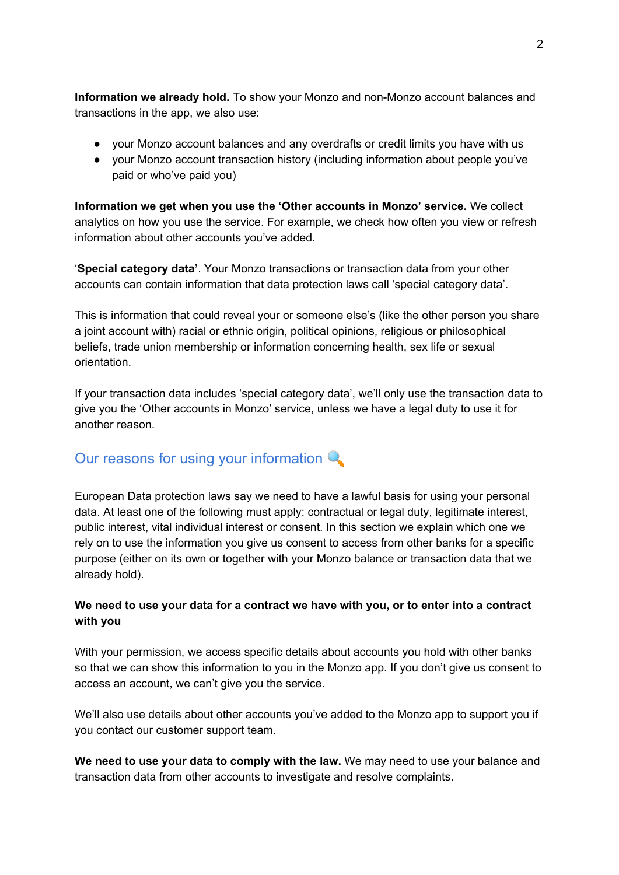**Information we already hold.** To show your Monzo and non-Monzo account balances and transactions in the app, we also use:

- your Monzo account balances and any overdrafts or credit limits you have with us
- your Monzo account transaction history (including information about people you've paid or who've paid you)

**Information we get when you use the 'Other accounts in Monzo' service.** We collect analytics on how you use the service. For example, we check how often you view or refresh information about other accounts you've added.

'**Special category data'**. Your Monzo transactions or transaction data from your other accounts can contain information that data protection laws call 'special category data'.

This is information that could reveal your or someone else's (like the other person you share a joint account with) racial or ethnic origin, political opinions, religious or philosophical beliefs, trade union membership or information concerning health, sex life or sexual orientation.

If your transaction data includes 'special category data', we'll only use the transaction data to give you the 'Other accounts in Monzo' service, unless we have a legal duty to use it for another reason.

# Our reasons for using your information Q

European Data protection laws say we need to have a lawful basis for using your personal data. At least one of the following must apply: contractual or legal duty, legitimate interest, public interest, vital individual interest or consent. In this section we explain which one we rely on to use the information you give us consent to access from other banks for a specific purpose (either on its own or together with your Monzo balance or transaction data that we already hold).

#### **We need to use your data for a contract we have with you, or to enter into a contract with you**

With your permission, we access specific details about accounts you hold with other banks so that we can show this information to you in the Monzo app. If you don't give us consent to access an account, we can't give you the service.

We'll also use details about other accounts you've added to the Monzo app to support you if you contact our customer support team.

**We need to use your data to comply with the law.** We may need to use your balance and transaction data from other accounts to investigate and resolve complaints.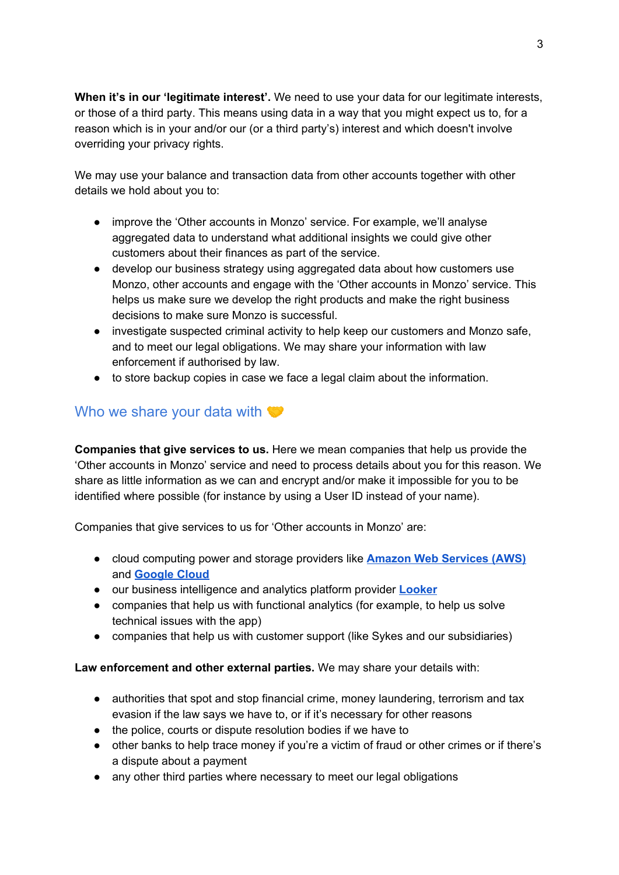**When it's in our 'legitimate interest'.** We need to use your data for our legitimate interests, or those of a third party. This means using data in a way that you might expect us to, for a reason which is in your and/or our (or a third party's) interest and which doesn't involve overriding your privacy rights.

We may use your balance and transaction data from other accounts together with other details we hold about you to:

- improve the 'Other accounts in Monzo' service. For example, we'll analyse aggregated data to understand what additional insights we could give other customers about their finances as part of the service.
- develop our business strategy using aggregated data about how customers use Monzo, other accounts and engage with the 'Other accounts in Monzo' service. This helps us make sure we develop the right products and make the right business decisions to make sure Monzo is successful.
- investigate suspected criminal activity to help keep our customers and Monzo safe, and to meet our legal obligations. We may share your information with law enforcement if authorised by law.
- to store backup copies in case we face a legal claim about the information.

## Who we share your data with

**Companies that give services to us.** Here we mean companies that help us provide the 'Other accounts in Monzo' service and need to process details about you for this reason. We share as little information as we can and encrypt and/or make it impossible for you to be identified where possible (for instance by using a User ID instead of your name).

Companies that give services to us for 'Other accounts in Monzo' are:

- cloud computing power and storage providers like **Amazon Web [Services](https://aws.amazon.com/solutions/case-studies/monzo/) (AWS)** and **[Google](https://cloud.google.com/customers/monzo/) Cloud**
- our business intelligence and analytics platform provider **[Looker](https://looker.com/learn/recorded-demo?utm_campaign=701E0000000okRm&utm_keyword=looker%20software&_bt=349033840001&_bm=b&utm_ppccampaign=eu_search_brand&gclid=EAIaIQobChMIoICX4Lbl5AIVCYXVCh0V8A1xEAAYASAAEgKUWPD_BwE)**
- companies that help us with functional analytics (for example, to help us solve technical issues with the app)
- companies that help us with customer support (like Sykes and our subsidiaries)

#### **Law enforcement and other external parties.** We may share your details with:

- authorities that spot and stop financial crime, money laundering, terrorism and tax evasion if the law says we have to, or if it's necessary for other reasons
- the police, courts or dispute resolution bodies if we have to
- other banks to help trace money if you're a victim of fraud or other crimes or if there's a dispute about a payment
- any other third parties where necessary to meet our legal obligations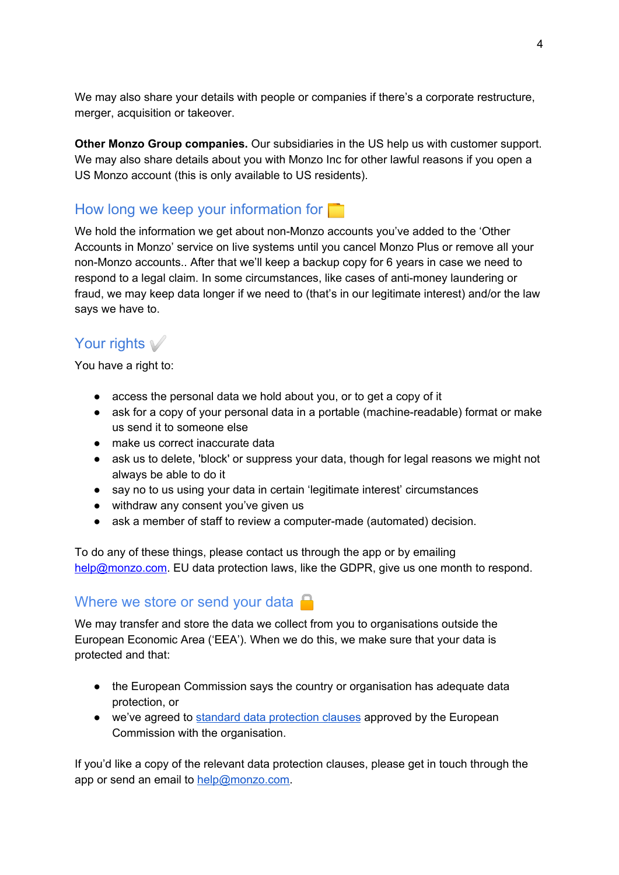We may also share your details with people or companies if there's a corporate restructure, merger, acquisition or takeover.

**Other Monzo Group companies.** Our subsidiaries in the US help us with customer support. We may also share details about you with Monzo Inc for other lawful reasons if you open a US Monzo account (this is only available to US residents).

# How long we keep your information for

We hold the information we get about non-Monzo accounts you've added to the 'Other Accounts in Monzo' service on live systems until you cancel Monzo Plus or remove all your non-Monzo accounts.. After that we'll keep a backup copy for 6 years in case we need to respond to a legal claim. In some circumstances, like cases of anti-money laundering or fraud, we may keep data longer if we need to (that's in our legitimate interest) and/or the law says we have to.

# Your rights ✅

You have a right to:

- access the personal data we hold about you, or to get a copy of it
- ask for a copy of your personal data in a portable (machine-readable) format or make us send it to someone else
- make us correct inaccurate data
- ask us to delete, 'block' or suppress your data, though for legal reasons we might not always be able to do it
- say no to us using your data in certain 'legitimate interest' circumstances
- withdraw any consent you've given us
- ask a member of staff to review a computer-made (automated) decision.

To do any of these things, please contact us through the app or by emailing [help@monzo.com.](mailto:help@monzo.com) EU data protection laws, like the GDPR, give us one month to respond.

## Where we store or send your data  $\Box$

We may transfer and store the data we collect from you to organisations outside the European Economic Area ('EEA'). When we do this, we make sure that your data is protected and that:

- the European Commission says the country or organisation has adequate data protection, or
- we've agreed to standard data [protection](https://eur-lex.europa.eu/legal-content/EN/TXT/PDF/?uri=CELEX:32010D0087&from=en) clauses approved by the European Commission with the organisation.

If you'd like a copy of the relevant data protection clauses, please get in touch through the app or send an email to [help@monzo.com.](mailto:help@monzo.com)